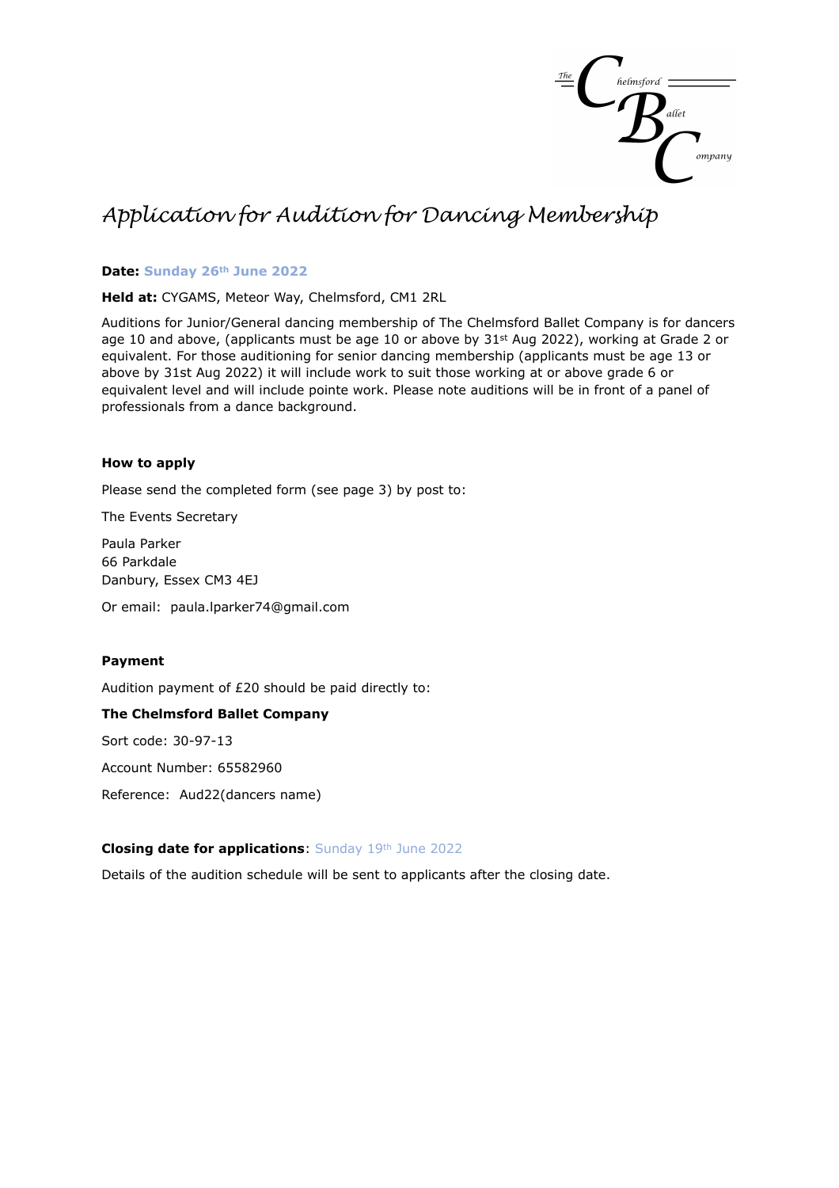

# *Application for Audition for Dancing Membership*

### **Date: Sunday 26th June 2022**

**Held at:** CYGAMS, Meteor Way, Chelmsford, CM1 2RL

Auditions for Junior/General dancing membership of The Chelmsford Ballet Company is for dancers age 10 and above, (applicants must be age 10 or above by  $31<sup>st</sup>$  Aug 2022), working at Grade 2 or equivalent. For those auditioning for senior dancing membership (applicants must be age 13 or above by 31st Aug 2022) it will include work to suit those working at or above grade 6 or equivalent level and will include pointe work. Please note auditions will be in front of a panel of professionals from a dance background.

#### **How to apply**

Please send the completed form (see page 3) by post to:

The Events Secretary

Paula Parker 66 Parkdale Danbury, Essex CM3 4EJ

Or email: paula.lparker74@gmail.com

#### **Payment**

Audition payment of £20 should be paid directly to:

#### **The Chelmsford Ballet Company**

Sort code: 30-97-13

Account Number: 65582960

Reference: Aud22(dancers name)

#### **Closing date for applications**: Sunday 19th June 2022

Details of the audition schedule will be sent to applicants after the closing date.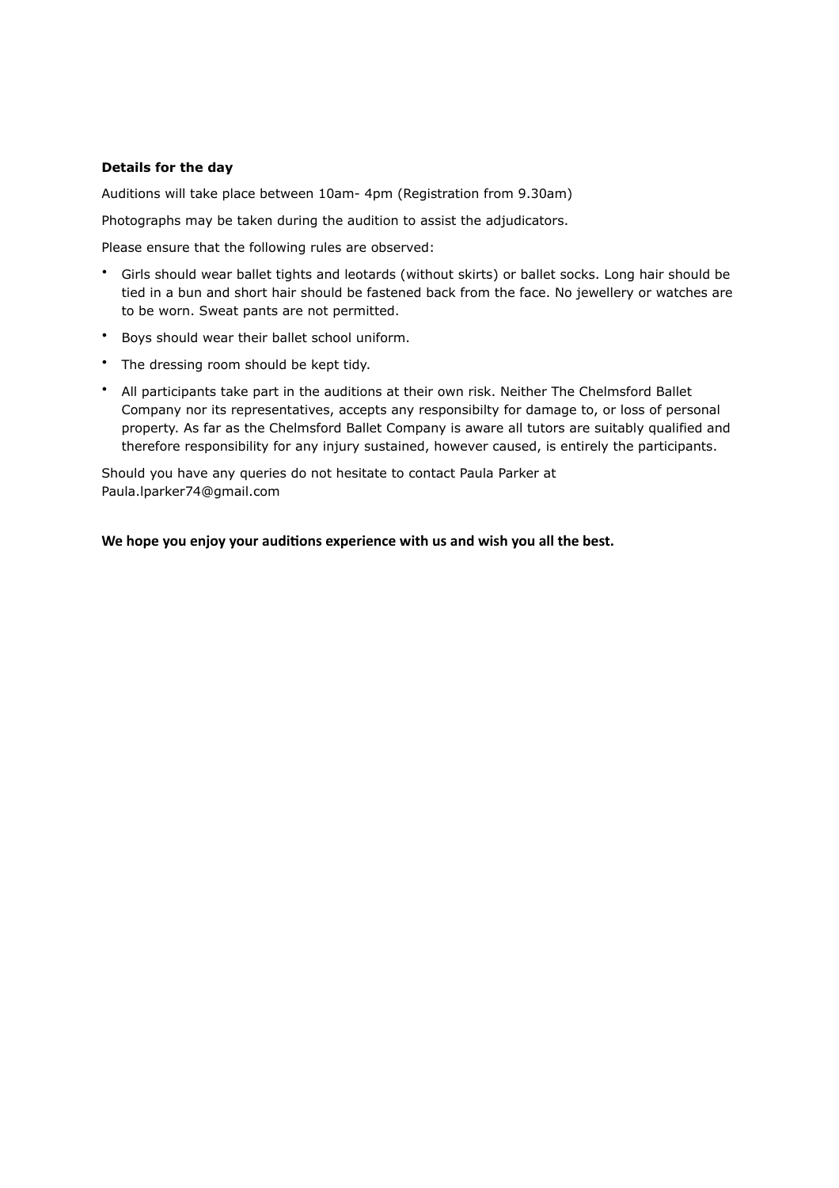## **Details for the day**

Auditions will take place between 10am- 4pm (Registration from 9.30am)

Photographs may be taken during the audition to assist the adjudicators.

Please ensure that the following rules are observed:

- Girls should wear ballet tights and leotards (without skirts) or ballet socks. Long hair should be tied in a bun and short hair should be fastened back from the face. No jewellery or watches are to be worn. Sweat pants are not permitted.
- Boys should wear their ballet school uniform.
- The dressing room should be kept tidy.
- All participants take part in the auditions at their own risk. Neither The Chelmsford Ballet Company nor its representatives, accepts any responsibilty for damage to, or loss of personal property. As far as the Chelmsford Ballet Company is aware all tutors are suitably qualified and therefore responsibility for any injury sustained, however caused, is entirely the participants.

Should you have any queries do not hesitate to contact Paula Parker at Paula.lparker74@gmail.com

**We hope you enjoy your auditions experience with us and wish you all the best.**